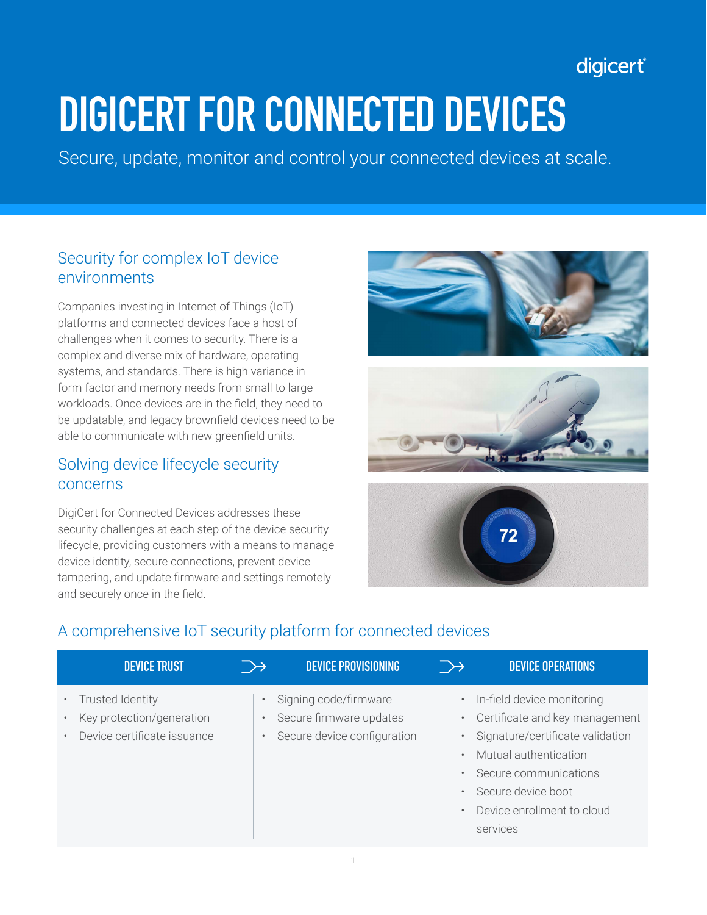## digicert®

# **DIGICERT FOR CONNECTED DEVICES**

Secure, update, monitor and control your connected devices at scale.

#### Security for complex IoT device environments

Companies investing in Internet of Things (IoT) platforms and connected devices face a host of challenges when it comes to security. There is a complex and diverse mix of hardware, operating systems, and standards. There is high variance in form factor and memory needs from small to large workloads. Once devices are in the field, they need to be updatable, and legacy brownfield devices need to be able to communicate with new greenfield units.

#### Solving device lifecycle security concerns

DigiCert for Connected Devices addresses these security challenges at each step of the device security lifecycle, providing customers with a means to manage device identity, secure connections, prevent device tampering, and update firmware and settings remotely and securely once in the field.







### A comprehensive IoT security platform for connected devices

| <b>DEVICE TRUST</b>                                                          |                                     | <b>DEVICE PROVISIONING</b>                                                      | $\rightarrow$ | <b>DEVICE OPERATIONS</b>                                                                                                                                                                                                                                                                                      |
|------------------------------------------------------------------------------|-------------------------------------|---------------------------------------------------------------------------------|---------------|---------------------------------------------------------------------------------------------------------------------------------------------------------------------------------------------------------------------------------------------------------------------------------------------------------------|
| Trusted Identity<br>Key protection/generation<br>Device certificate issuance | $\bullet$<br>$\bullet$<br>$\bullet$ | Signing code/firmware<br>Secure firmware updates<br>Secure device configuration |               | In-field device monitoring<br>$\bullet$<br>Certificate and key management<br>$\bullet$<br>Signature/certificate validation<br>$\bullet$<br>Mutual authentication<br>$\bullet$<br>Secure communications<br>$\bullet$<br>Secure device boot<br>$\bullet$<br>Device enrollment to cloud<br>$\bullet$<br>services |